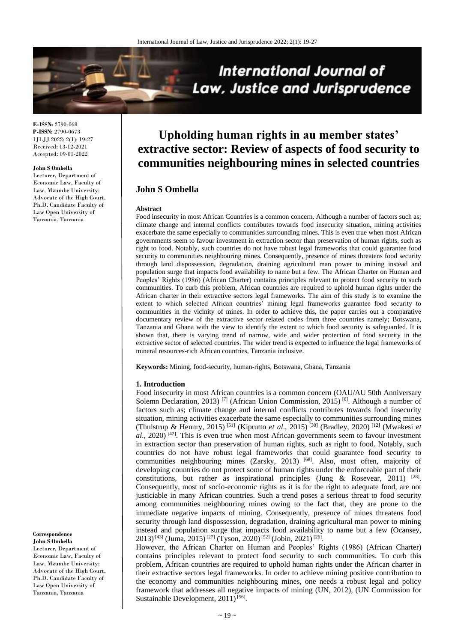

**E-ISSN:** 2790-068 **P-ISSN:** 2790-0673 IJLJJ 2022; 2(1): 19-27 Received: 13-12-2021 Accepted: 09-01-2022

#### **John S Ombella**

Lecturer, Department of Economic Law, Faculty of Law, Mzumbe University; Advocate of the High Court, Ph.D. Candidate Faculty of Law Open University of Tanzania, Tanzania

# **Upholding human rights in au member states' extractive sector: Review of aspects of food security to communities neighbouring mines in selected countries**

# **John S Ombella**

#### **Abstract**

Food insecurity in most African Countries is a common concern. Although a number of factors such as; climate change and internal conflicts contributes towards food insecurity situation, mining activities exacerbate the same especially to communities surrounding mines. This is even true when most African governments seem to favour investment in extraction sector than preservation of human rights, such as right to food. Notably, such countries do not have robust legal frameworks that could guarantee food security to communities neighbouring mines. Consequently, presence of mines threatens food security through land dispossession, degradation, draining agricultural man power to mining instead and population surge that impacts food availability to name but a few. The African Charter on Human and Peoples' Rights (1986) (African Charter) contains principles relevant to protect food security to such communities. To curb this problem, African countries are required to uphold human rights under the African charter in their extractive sectors legal frameworks. The aim of this study is to examine the extent to which selected African countries' mining legal frameworks guarantee food security to communities in the vicinity of mines. In order to achieve this, the paper carries out a comparative documentary review of the extractive sector related codes from three countries namely; Botswana, Tanzania and Ghana with the view to identify the extent to which food security is safeguarded. It is shown that, there is varying trend of narrow, wide and wider protection of food security in the extractive sector of selected countries. The wider trend is expected to influence the legal frameworks of mineral resources-rich African countries, Tanzania inclusive.

**Keywords:** Mining, food-security, human-rights, Botswana, Ghana, Tanzania

#### **1. Introduction**

Food insecurity in most African countries is a common concern (OAU/AU 50th Anniversary Solemn Declaration, 2013)<sup>[7]</sup> (African Union Commission, 2015)<sup>[6]</sup>. Although a number of factors such as; climate change and internal conflicts contributes towards food insecurity situation, mining activities exacerbate the same especially to communities surrounding mines (Thulstrup & Hennry, 2015) [51] (Kiprutto *et al*., 2015) [30] (Bradley, 2020) [12] (Mwakesi *et*  al., 2020)<sup>[42]</sup>. This is even true when most African governments seem to favour investment in extraction sector than preservation of human rights, such as right to food. Notably, such countries do not have robust legal frameworks that could guarantee food security to communities neighbouring mines (Zarsky, 2013)<sup>[68]</sup>. Also, most often, majority of developing countries do not protect some of human rights under the enforceable part of their constitutions, but rather as inspirational principles (Jung & Rosevear, 2011)  $^{[28]}$ . Consequently, most of socio-economic rights as it is for the right to adequate food, are not justiciable in many African countries. Such a trend poses a serious threat to food security among communities neighbouring mines owing to the fact that, they are prone to the immediate negative impacts of mining. Consequently, presence of mines threatens food security through land dispossession, degradation, draining agricultural man power to mining instead and population surge that impacts food availability to name but a few (Ocansey, 2013)<sup>[43]</sup> (Juma, 2015)<sup>[27]</sup> (Tyson, 2020)<sup>[52]</sup> (Jobin, 2021)<sup>[26]</sup>.

However, the African Charter on Human and Peoples' Rights (1986) (African Charter) contains principles relevant to protect food security to such communities. To curb this problem, African countries are required to uphold human rights under the African charter in their extractive sectors legal frameworks. In order to achieve mining positive contribution to the economy and communities neighbouring mines, one needs a robust legal and policy framework that addresses all negative impacts of mining (UN, 2012), (UN Commission for Sustainable Development, 2011)<sup>[56]</sup>.

#### **Correspondence**

**John S Ombella** Lecturer, Department of Economic Law, Faculty of Law, Mzumbe University; Advocate of the High Court, Ph.D. Candidate Faculty of Law Open University of Tanzania, Tanzania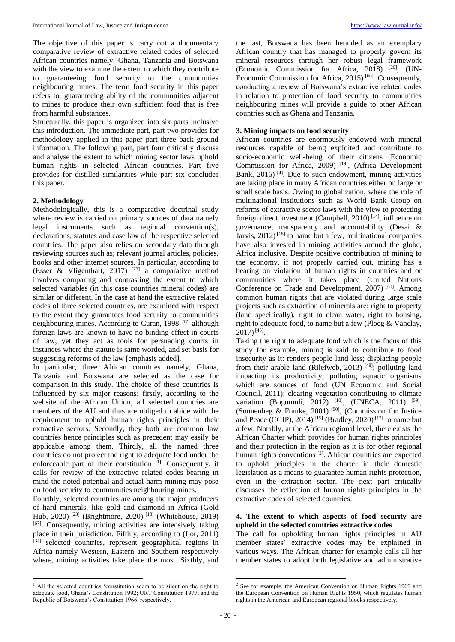The objective of this paper is carry out a documentary comparative review of extractive related codes of selected African countries namely; Ghana, Tanzania and Botswana with the view to examine the extent to which they contribute to guaranteeing food security to the communities neighbouring mines. The term food security in this paper refers to, guaranteeing ability of the communities adjacent to mines to produce their own sufficient food that is free from harmful substances.

Structurally, this paper is organized into six parts inclusive this introduction. The immediate part, part two provides for methodology applied in this paper part three back ground information. The following part, part four critically discuss and analyse the extent to which mining sector laws uphold human rights in selected African countries. Part five provides for distilled similarities while part six concludes this paper.

## **2. Methodology**

Methodologically, this is a comparative doctrinal study where review is carried on primary sources of data namely legal instruments such as regional convention(s), declarations, statutes and case law of the respective selected countries. The paper also relies on secondary data through reviewing sources such as; relevant journal articles, policies, books and other internet sources. In particular, according to (Esser & Vligenthart, 2017)<sup>[22]</sup> a comparative method involves comparing and contrasting the extent to which selected variables (in this case countries mineral codes) are similar or different. In the case at hand the extractive related codes of three selected countries, are examined with respect to the extent they guarantees food security to communities neighbouring mines. According to Curan, 1998<sup>[17]</sup> although foreign laws are known to have no binding effect in courts of law, yet they act as tools for persuading courts in instances where the statute is same worded, and set basis for suggesting reforms of the law [emphasis added].

In particular, three African countries namely, Ghana, Tanzania and Botswana are selected as the case for comparison in this study. The choice of these countries is influenced by six major reasons; firstly, according to the website of the African Union, all selected countries are members of the AU and thus are obliged to abide with the requirement to uphold human rights principles in their extractive sectors. Secondly, they both are common law countries hence principles such as precedent may easily be applicable among them. Thirdly, all the named three countries do not protect the right to adequate food under the enforceable part of their constitution [1]. Consequently, it calls for review of the extractive related codes bearing in mind the noted potential and actual harm mining may pose on food security to communities neighbouring mines.

Fourthly, selected countries are among the major producers of hard minerals, like gold and diamond in Africa (Gold Hub, 2020)<sup>[23]</sup> (Brightmore, 2020)<sup>[13]</sup> (Whitehouse, 2019) [67]. Consequently, mining activities are intensively taking place in their jurisdiction. Fifthly, according to (Lor, 2011) [34] selected countries, represent geographical regions in Africa namely Western, Eastern and Southern respectively where, mining activities take place the most. Sixthly, and

 $\overline{\phantom{a}}$ 

the last, Botswana has been heralded as an exemplary African country that has managed to properly govern its mineral resources through her robust legal framework (Economic Commission for Africa, 2018)<sup>[20]</sup>, (UN-Economic Commission for Africa, 2015)<sup>[60]</sup>. Consequently, conducting a review of Botswana's extractive related codes in relation to protection of food security to communities neighbouring mines will provide a guide to other African countries such as Ghana and Tanzania.

## **3. Mining impacts on food security**

African countries are enormously endowed with mineral resources capable of being exploited and contribute to socio-economic well-being of their citizens (Economic Commission for Africa, 2009)<sup>[19]</sup>, (Africa Development Bank,  $2016$ <sup>[4]</sup>. Due to such endowment, mining activities are taking place in many African countries either on large or small scale basis. Owing to globalization, where the role of multinational institutions such as World Bank Group on reforms of extractive sector laws with the view to protecting foreign direct investment (Campbell, 2010)<sup>[14]</sup>, influence on governance, transparency and accountability (Desai & Jarvis, 2012)<sup>[18]</sup> to name but a few, multinational companies have also invested in mining activities around the globe, Africa inclusive. Despite positive contribution of mining to the economy, if not properly carried out, mining has a bearing on violation of human rights in countries and or communities where it takes place (United Nations Conference on Trade and Development, 2007)<sup>[61]</sup>. Among common human rights that are violated during large scale projects such as extraction of minerals are: right to property (land specifically), right to clean water, right to housing, right to adequate food, to name but a few (Ploeg & Vanclay,  $2017$ <sup>[45]</sup>.

Taking the right to adequate food which is the focus of this study for example, mining is said to contribute to food insecurity as it: renders people land less; displacing people from their arable land (Rilefweb, 2013)<sup>[48]</sup>; polluting land impacting its productivity; polluting aquatic organisms which are sources of food (UN Economic and Social Council, 2011); clearing vegetation contributing to climate variation (Bogumuli, 2012)<sup>[10]</sup>, (UNECA, 2011)<sup>[59]</sup>, (Sonnenbeg & Frauke, 2001)<sup>[50]</sup>, (Commission for Justice and Peace (CCJP), 2014)<sup>[15]</sup> (Bradley, 2020)<sup>[12]</sup> to name but a few. Notably, at the African regional level, there exists the African Charter which provides for human rights principles and their protection in the region as it is for other regional human rights conventions<sup>[2]</sup>. African countries are expected to uphold principles in the charter in their domestic legislation as a means to guarantee human rights protection, even in the extraction sector. The next part critically discusses the reflection of human rights principles in the extractive codes of selected countries.

## **4. The extent to which aspects of food security are upheld in the selected countries extractive codes**

The call for upholding human rights principles in AU member states' extractive codes may be explained in various ways. The African charter for example calls all her member states to adopt both legislative and administrative

**.** 

<sup>&</sup>lt;sup>1</sup> All the selected countries 'constitution seem to be silent on the right to adequate food, Ghana's Constitution 1992; URT Constitution 1977; and the Republic of Botswana's Constitution 1966, respectively.

<sup>2</sup> See for example, the American Convention on Human Rights 1969 and the European Convention on Human Rights 1950, which regulates human rights in the American and European regional blocks respectively.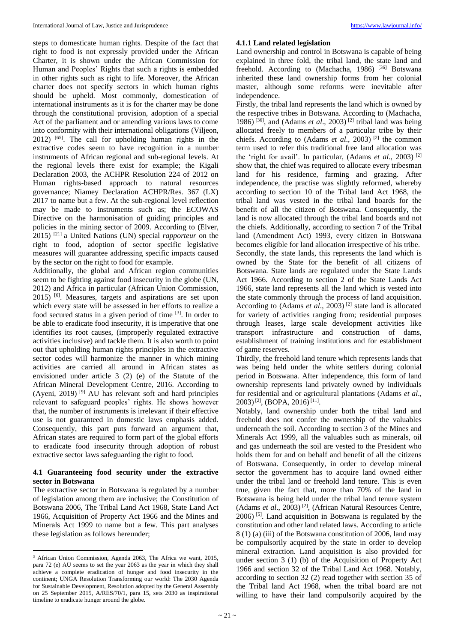steps to domesticate human rights. Despite of the fact that right to food is not expressly provided under the African Charter, it is shown under the African Commission for Human and Peoples' Rights that such a rights is embedded in other rights such as right to life. Moreover, the African charter does not specify sectors in which human rights should be upheld. Most commonly, domestication of international instruments as it is for the charter may be done through the constitutional provision, adoption of a special Act of the parliament and or amending various laws to come into conformity with their international obligations (Viljeon, 2012) [65] . The call for upholding human rights in the extractive codes seem to have recognition in a number instruments of African regional and sub-regional levels. At the regional levels there exist for example; the Kigali Declaration 2003, the ACHPR Resolution 224 of 2012 on Human rights-based approach to natural resources governance; Niamey Declaration ACHPR/Res. 367 (LX) 2017 to name but a few. At the sub-regional level reflection may be made to instruments such as; the ECOWAS Directive on the harmonisation of guiding principles and policies in the mining sector of 2009. According to (Elver, 2015) [21] a United Nations (UN) special *rapporteur* on the right to food, adoption of sector specific legislative measures will guarantee addressing specific impacts caused by the sector on the right to food for example.

Additionally, the global and African region communities seem to be fighting against food insecurity in the globe (UN, 2012) and Africa in particular (African Union Commission, 2015) [6] . Measures, targets and aspirations are set upon which every state will be assessed in her efforts to realize a food secured status in a given period of time <sup>[3]</sup>. In order to be able to eradicate food insecurity, it is imperative that one identifies its root causes, (improperly regulated extractive activities inclusive) and tackle them. It is also worth to point out that upholding human rights principles in the extractive sector codes will harmonize the manner in which mining activities are carried all around in African states as envisioned under article 3 (2) (e) of the Statute of the African Mineral Development Centre, 2016. According to (Ayeni, 2019) [9] AU has relevant soft and hard principles relevant to safeguard peoples' rights. He shows however that, the number of instruments is irrelevant if their effective use is not guaranteed in domestic laws emphasis added. Consequently, this part puts forward an argument that, African states are required to form part of the global efforts to eradicate food insecurity through adoption of robust extractive sector laws safeguarding the right to food.

## **4.1 Guaranteeing food security under the extractive sector in Botswana**

The extractive sector in Botswana is regulated by a number of legislation among them are inclusive; the Constitution of Botswana 2006, The Tribal Land Act 1968, State Land Act 1966, Acquisition of Property Act 1966 and the Mines and Minerals Act 1999 to name but a few. This part analyses these legislation as follows hereunder;

 $\overline{\phantom{a}}$ 

#### **4.1.1 Land related legislation**

Land ownership and control in Botswana is capable of being explained in three fold, the tribal land, the state land and freehold. According to (Machacha, 1986) [36] Botswana inherited these land ownership forms from her colonial master, although some reforms were inevitable after independence.

Firstly, the tribal land represents the land which is owned by the respective tribes in Botswana. According to (Machacha, 1986)<sup>[36]</sup>, and (Adams *et al.*, 2003)<sup>[2]</sup> tribal land was being allocated freely to members of a particular tribe by their chiefs. According to (Adams *et al.*, 2003)<sup>[2]</sup> the common term used to refer this traditional free land allocation was the 'right for avail'. In particular, (Adams *et al*., 2003) [2] show that, the chief was required to allocate every tribesman land for his residence, farming and grazing. After independence, the practise was slightly reformed, whereby according to section 10 of the Tribal land Act 1968, the tribal land was vested in the tribal land boards for the benefit of all the citizen of Botswana. Consequently, the land is now allocated through the tribal land boards and not the chiefs. Additionally, according to section 7 of the Tribal land (Amendment Act) 1993, every citizen in Botswana becomes eligible for land allocation irrespective of his tribe. Secondly, the state lands, this represents the land which is owned by the State for the benefit of all citizens of Botswana. State lands are regulated under the State Lands Act 1966. According to section 2 of the State Lands Act 1966, state land represents all the land which is vested into the state commonly through the process of land acquisition. According to (Adams *et al.*, 2003)<sup>[2]</sup> state land is allocated for variety of activities ranging from; residential purposes through leases, large scale development activities like transport infrastructure and construction of dams, establishment of training institutions and for establishment of game reserves.

Thirdly, the freehold land tenure which represents lands that was being held under the white settlers during colonial period in Botswana. After independence, this form of land ownership represents land privately owned by individuals for residential and or agricultural plantations (Adams *et al*.,  $2003$ <sup>[2]</sup>, (BOPA, 2016)<sup>[11]</sup>.

Notably, land ownership under both the tribal land and freehold does not confer the ownership of the valuables underneath the soil. According to section 3 of the Mines and Minerals Act 1999, all the valuables such as minerals, oil and gas underneath the soil are vested to the President who holds them for and on behalf and benefit of all the citizens of Botswana. Consequently, in order to develop mineral sector the government has to acquire land owned either under the tribal land or freehold land tenure. This is even true, given the fact that, more than 70% of the land in Botswana is being held under the tribal land tenure system (Adams et al., 2003)<sup>[2]</sup>, (African Natural Resources Centre, 2006) [5] . Land acquisition in Botswana is regulated by the constitution and other land related laws. According to article 8 (1) (a) (iii) of the Botswana constitution of 2006, land may be compulsorily acquired by the state in order to develop mineral extraction. Land acquisition is also provided for under section 3 (1) (b) of the Acquisition of Property Act 1966 and section 32 of the Tribal Land Act 1968. Notably, according to section 32 (2) read together with section 35 of the Tribal land Act 1968, when the tribal board are not willing to have their land compulsorily acquired by the

<sup>3</sup> African Union Commission, Agenda 2063, The Africa we want, 2015, para 72 (e) AU seems to set the year 2063 as the year in which they shall achieve a complete eradication of hunger and food insecurity in the continent; UNGA Resolution Transforming our world: The 2030 Agenda for Sustainable Development, Resolution adopted by the General Assembly on 25 September 2015, A/RES/70/1, para 15, sets 2030 as inspirational timeline to eradicate hunger around the globe.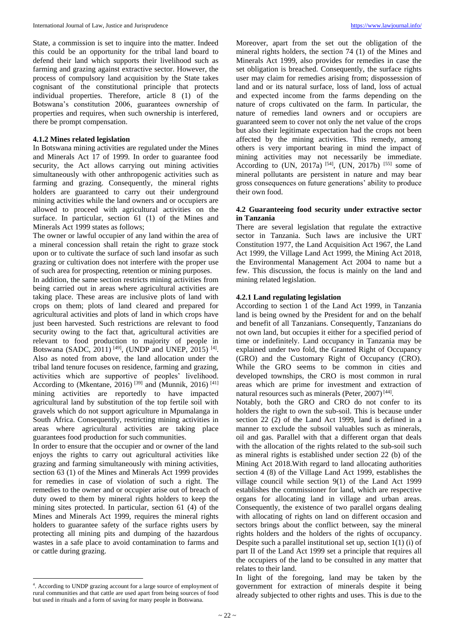State, a commission is set to inquire into the matter. Indeed this could be an opportunity for the tribal land board to defend their land which supports their livelihood such as farming and grazing against extractive sector. However, the process of compulsory land acquisition by the State takes cognisant of the constitutional principle that protects individual properties. Therefore, article 8 (1) of the Botswana's constitution 2006, guarantees ownership of properties and requires, when such ownership is interfered, there be prompt compensation.

## **4.1.2 Mines related legislation**

In Botswana mining activities are regulated under the Mines and Minerals Act 17 of 1999. In order to guarantee food security, the Act allows carrying out mining activities simultaneously with other anthropogenic activities such as farming and grazing. Consequently, the mineral rights holders are guaranteed to carry out their underground mining activities while the land owners and or occupiers are allowed to proceed with agricultural activities on the surface. In particular, section 61 (1) of the Mines and Minerals Act 1999 states as follows;

The owner or lawful occupier of any land within the area of a mineral concession shall retain the right to graze stock upon or to cultivate the surface of such land insofar as such grazing or cultivation does not interfere with the proper use of such area for prospecting, retention or mining purposes.

In addition, the same section restricts mining activities from being carried out in areas where agricultural activities are taking place. These areas are inclusive plots of land with crops on them; plots of land cleared and prepared for agricultural activities and plots of land in which crops have just been harvested. Such restrictions are relevant to food security owing to the fact that, agricultural activities are relevant to food production to majority of people in Botswana (SADC, 2011)<sup>[49]</sup>, (UNDP and UNEP, 2015)<sup>[4]</sup>. Also as noted from above, the land allocation under the tribal land tenure focuses on residence, farming and grazing, activities which are supportive of peoples' livelihood. According to (Mkentane, 2016)<sup>[39]</sup> and (Munnik, 2016)<sup>[41]</sup> mining activities are reportedly to have impacted agricultural land by substitution of the top fertile soil with gravels which do not support agriculture in Mpumalanga in South Africa. Consequently, restricting mining activities in areas where agricultural activities are taking place guarantees food production for such communities.

In order to ensure that the occupier and or owner of the land enjoys the rights to carry out agricultural activities like grazing and farming simultaneously with mining activities, section 63 (1) of the Mines and Minerals Act 1999 provides for remedies in case of violation of such a right. The remedies to the owner and or occupier arise out of breach of duty owed to them by mineral rights holders to keep the mining sites protected. In particular, section 61 (4) of the Mines and Minerals Act 1999, requires the mineral rights holders to guarantee safety of the surface rights users by protecting all mining pits and dumping of the hazardous wastes in a safe place to avoid contamination to farms and or cattle during grazing.

 $\overline{\phantom{a}}$ 

Moreover, apart from the set out the obligation of the mineral rights holders, the section 74 (1) of the Mines and Minerals Act 1999, also provides for remedies in case the set obligation is breached. Consequently, the surface rights user may claim for remedies arising from; dispossession of land and or its natural surface, loss of land, loss of actual and expected income from the farms depending on the nature of crops cultivated on the farm. In particular, the nature of remedies land owners and or occupiers are guaranteed seem to cover not only the net value of the crops but also their legitimate expectation had the crops not been affected by the mining activities. This remedy, among others is very important bearing in mind the impact of mining activities may not necessarily be immediate. According to (UN, 2017a)<sup>[54]</sup>, (UN, 2017b)<sup>[55]</sup> some of mineral pollutants are persistent in nature and may bear gross consequences on future generations' ability to produce their own food.

#### **4.2 Guaranteeing food security under extractive sector in Tanzania**

There are several legislation that regulate the extractive sector in Tanzania. Such laws are inclusive the URT Constitution 1977, the Land Acquisition Act 1967, the Land Act 1999, the Village Land Act 1999, the Mining Act 2018, the Environmental Management Act 2004 to name but a few. This discussion, the focus is mainly on the land and mining related legislation.

## **4.2.1 Land regulating legislation**

According to section 1 of the Land Act 1999, in Tanzania land is being owned by the President for and on the behalf and benefit of all Tanzanians. Consequently, Tanzanians do not own land, but occupies it either for a specified period of time or indefinitely. Land occupancy in Tanzania may be explained under two fold, the Granted Right of Occupancy (GRO) and the Customary Right of Occupancy (CRO). While the GRO seems to be common in cities and developed townships, the CRO is most common in rural areas which are prime for investment and extraction of natural resources such as minerals (Peter, 2007)<sup>[44]</sup>.

Notably, both the GRO and CRO do not confer to its holders the right to own the sub-soil. This is because under section 22 (2) of the Land Act 1999, land is defined in a manner to exclude the subsoil valuables such as minerals, oil and gas. Parallel with that a different organ that deals with the allocation of the rights related to the sub-soil such as mineral rights is established under section 22 (b) of the Mining Act 2018.With regard to land allocating authorities section 4 (8) of the Village Land Act 1999, establishes the village council while section 9(1) of the Land Act 1999 establishes the commissioner for land, which are respective organs for allocating land in village and urban areas. Consequently, the existence of two parallel organs dealing with allocating of rights on land on different occasion and sectors brings about the conflict between, say the mineral rights holders and the holders of the rights of occupancy. Despite such a parallel institutional set up, section 1(1) (i) of part II of the Land Act 1999 set a principle that requires all the occupiers of the land to be consulted in any matter that relates to their land.

In light of the foregoing, land may be taken by the government for extraction of minerals despite it being already subjected to other rights and uses. This is due to the

<sup>4</sup> . According to UNDP grazing account for a large source of employment of rural communities and that cattle are used apart from being sources of food but used in rituals and a form of saving for many people in Botswana.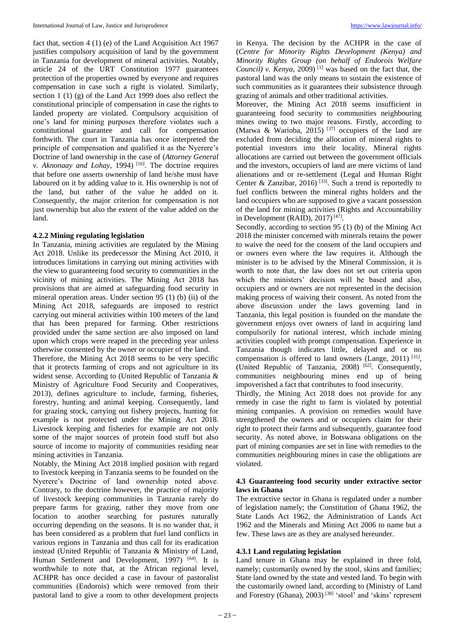fact that, section 4 (1) (e) of the Land Acquisition Act 1967 justifies compulsory acquisition of land by the government in Tanzania for development of mineral activities. Notably, article 24 of the URT Constitution 1977 guarantees protection of the properties owned by everyone and requires compensation in case such a right is violated. Similarly, section 1 (1) (g) of the Land Act 1999 does also reflect the constitutional principle of compensation in case the rights to landed property are violated. Compulsory acquisition of one's land for mining purposes therefore violates such a constitutional guarantee and call for compensation forthwith. The court in Tanzania has once interpreted the principle of compensation and qualified it as the Nyerere's Doctrine of land ownership in the case of (*Attorney General v. Aknonaay and Lohay*, 1994) [16] . The doctrine requires that before one asserts ownership of land he/she must have laboured on it by adding value to it. His ownership is not of the land, but rather of the value he added on it. Consequently, the major criterion for compensation is not just ownership but also the extent of the value added on the land.

#### **4.2.2 Mining regulating legislation**

In Tanzania, mining activities are regulated by the Mining Act 2018. Unlike its predecessor the Mining Act 2010, it introduces limitations in carrying out mining activities with the view to guaranteeing food security to communities in the vicinity of mining activities. The Mining Act 2018 has provisions that are aimed at safeguarding food security in mineral operation areas. Under section 95 (1) (b) (ii) of the Mining Act 2018, safeguards are imposed to restrict carrying out mineral activities within 100 meters of the land that has been prepared for farming. Other restrictions provided under the same section are also imposed on land upon which crops were reaped in the preceding year unless otherwise consented by the owner or occupier of the land.

Therefore, the Mining Act 2018 seems to be very specific that it protects farming of crops and not agriculture in its widest sense. According to (United Republic of Tanzania & Ministry of Agriculture Food Security and Cooperatives, 2013), defines agriculture to include, farming, fisheries, forestry, hunting and animal keeping. Consequently, land for grazing stock, carrying out fishery projects, hunting for example is not protected under the Mining Act 2018. Livestock keeping and fisheries for example are not only some of the major sources of protein food stuff but also source of income to majority of communities residing near mining activities in Tanzania.

Notably, the Mining Act 2018 implied position with regard to livestock keeping in Tanzania seems to be founded on the Nyerere's Doctrine of land ownership noted above. Contrary, to the doctrine however, the practice of majority of livestock keeping communities in Tanzania rarely do prepare farms for grazing, rather they move from one location to another searching for pastures naturally occurring depending on the seasons. It is no wander that, it has been considered as a problem that fuel land conflicts in various regions in Tanzania and thus call for its eradication instead (United Republic of Tanzania & Ministry of Land, Human Settlement and Development, 1997)<sup>[64]</sup>. It is worthwhile to note that, at the African regional level, ACHPR has once decided a case in favour of pastoralist communities (Endorois) which were removed from their pastoral land to give a room to other development projects

in Kenya. The decision by the ACHPR in the case of (*Centre for Minority Rights Development (Kenya) and Minority Rights Group (on behalf of Endorois Welfare Council) v. Kenya*, 2009)<sup>[1]</sup> was based on the fact that, the pastoral land was the only means to sustain the existence of such communities as it guarantees their subsistence through grazing of animals and other traditional activities.

Moreover, the Mining Act 2018 seems insufficient in guaranteeing food security to communities neighbouring mines owing to two major reasons. Firstly, according to (Marwa & Warioba, 2015)<sup>[37]</sup> occupiers of the land are excluded from deciding the allocation of mineral rights to potential investors into their locality. Mineral rights allocations are carried out between the government officials and the investors, occupiers of land are mere victims of land alienations and or re-settlement (Legal and Human Right Center & Zanzibar, 2016)<sup>[33]</sup>. Such a trend is reportedly to fuel conflicts between the mineral rights holders and the land occupiers who are supposed to give a vacant possession of the land for mining activities (Rights and Accountability in Development (RAID),  $2017$ )<sup>[47]</sup>.

Secondly, according to section 95 (1) (b) of the Mining Act 2018 the minister concerned with minerals retains the power to waive the need for the consent of the land occupiers and or owners even where the law requires it. Although the minister is to be advised by the Mineral Commission, it is worth to note that, the law does not set out criteria upon which the ministers' decision will be based and also, occupiers and or owners are not represented in the decision making process of waiving their consent. As noted from the above discussion under the laws governing land in Tanzania, this legal position is founded on the mandate the government enjoys over owners of land in acquiring land compulsorily for national interest, which include mining activities coupled with prompt compensation. Experience in Tanzania though indicates little, delayed and or no compensation is offered to land owners (Lange, 2011)<sup>[31]</sup>, (United Republic of Tanzania, 2008)<sup>[62]</sup>. Consequently, communities neighbouring mines end up of being impoverished a fact that contributes to food insecurity.

Thirdly, the Mining Act 2018 does not provide for any remedy in case the right to farm is violated by potential mining companies. A provision on remedies would have strengthened the owners and or occupiers claim for their right to protect their farms and subsequently, guarantee food security. As noted above, in Botswana obligations on the part of mining companies are set in line with remedies to the communities neighbouring mines in case the obligations are violated.

# **4.3 Guaranteeing food security under extractive sector laws in Ghana**

The extractive sector in Ghana is regulated under a number of legislation namely; the Constitution of Ghana 1962, the State Lands Act 1962, the Administration of Lands Act 1962 and the Minerals and Mining Act 2006 to name but a few. These laws are as they are analysed hereunder.

# **4.3.1 Land regulating legislation**

Land tenure in Ghana may be explained in three fold, namely; customarily owned by the stool, skins and families; State land owned by the state and vested land. To begin with the customarily owned land, according to (Ministry of Land and Forestry (Ghana), 2003)<sup>[38]</sup> 'stool' and 'skins' represent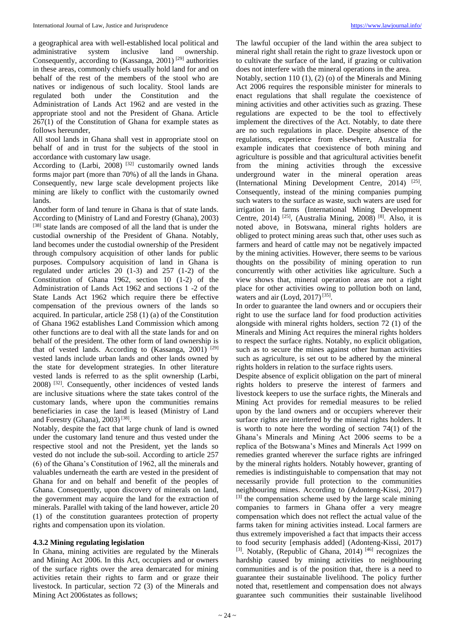a geographical area with well-established local political and administrative system inclusive land ownership. Consequently, according to (Kassanga, 2001)<sup>[29]</sup> authorities in these areas, commonly chiefs usually hold land for and on behalf of the rest of the members of the stool who are natives or indigenous of such locality. Stool lands are regulated both under the Constitution and the Administration of Lands Act 1962 and are vested in the appropriate stool and not the President of Ghana. Article 267(1) of the Constitution of Ghana for example states as follows hereunder,

All stool lands in Ghana shall vest in appropriate stool on behalf of and in trust for the subjects of the stool in accordance with customary law usage.

According to  $(Larbi, 2008)$ <sup>[32]</sup> customarily owned lands forms major part (more than 70%) of all the lands in Ghana. Consequently, new large scale development projects like mining are likely to conflict with the customarily owned lands.

Another form of land tenure in Ghana is that of state lands. According to (Ministry of Land and Forestry (Ghana), 2003) [38] state lands are composed of all the land that is under the custodial ownership of the President of Ghana. Notably, land becomes under the custodial ownership of the President through compulsory acquisition of other lands for public purposes. Compulsory acquisition of land in Ghana is regulated under articles 20 (1-3) and 257 (1-2) of the Constitution of Ghana 1962, section 10 (1-2) of the Administration of Lands Act 1962 and sections 1 -2 of the State Lands Act 1962 which require there be effective compensation of the previous owners of the lands so acquired. In particular, article 258 (1) (a) of the Constitution of Ghana 1962 establishes Land Commission which among other functions are to deal with all the state lands for and on behalf of the president. The other form of land ownership is that of vested lands. According to (Kassanga, 2001) [29] vested lands include urban lands and other lands owned by the state for development strategies. In other literature vested lands is referred to as the split ownership (Larbi, 2008) [32] . Consequently, other incidences of vested lands are inclusive situations where the state takes control of the customary lands, where upon the communities remains beneficiaries in case the land is leased (Ministry of Land and Forestry (Ghana), 2003)<sup>[38]</sup>.

Notably, despite the fact that large chunk of land is owned under the customary land tenure and thus vested under the respective stool and not the President, yet the lands so vested do not include the sub-soil. According to article 257 (6) of the Ghana's Constitution of 1962, all the minerals and valuables underneath the earth are vested in the president of Ghana for and on behalf and benefit of the peoples of Ghana. Consequently, upon discovery of minerals on land, the government may acquire the land for the extraction of minerals. Parallel with taking of the land however, article 20 (1) of the constitution guarantees protection of property rights and compensation upon its violation.

# **4.3.2 Mining regulating legislation**

In Ghana, mining activities are regulated by the Minerals and Mining Act 2006. In this Act, occupiers and or owners of the surface rights over the area demarcated for mining activities retain their rights to farm and or graze their livestock. In particular, section 72 (3) of the Minerals and Mining Act 2006states as follows;

The lawful occupier of the land within the area subject to mineral right shall retain the right to graze livestock upon or to cultivate the surface of the land, if grazing or cultivation does not interfere with the mineral operations in the area.

Notably, section 110 (1), (2) (o) of the Minerals and Mining Act 2006 requires the responsible minister for minerals to enact regulations that shall regulate the coexistence of mining activities and other activities such as grazing. These regulations are expected to be the tool to effectively implement the directives of the Act. Notably, to date there are no such regulations in place. Despite absence of the regulations, experience from elsewhere, Australia for example indicates that coexistence of both mining and agriculture is possible and that agricultural activities benefit from the mining activities through the excessive underground water in the mineral operation areas (International Mining Development Centre, 2014)<sup>[25]</sup>. Consequently, instead of the mining companies pumping such waters to the surface as waste, such waters are used for irrigation in farms (International Mining Development Centre, 2014)<sup>[25]</sup>, (Australia Mining, 2008)<sup>[8]</sup>. Also, it is noted above, in Botswana, mineral rights holders are obliged to protect mining areas such that, other uses such as farmers and heard of cattle may not be negatively impacted by the mining activities. However, there seems to be various thoughts on the possibility of mining operation to run concurrently with other activities like agriculture. Such a view shows that, mineral operation areas are not a right place for other activities owing to pollution both on land, waters and air (Loyd, 2017)<sup>[35]</sup>.

In order to guarantee the land owners and or occupiers their right to use the surface land for food production activities alongside with mineral rights holders, section 72 (1) of the Minerals and Mining Act requires the mineral rights holders to respect the surface rights. Notably, no explicit obligation, such as to secure the mines against other human activities such as agriculture, is set out to be adhered by the mineral rights holders in relation to the surface rights users.

Despite absence of explicit obligation on the part of mineral rights holders to preserve the interest of farmers and livestock keepers to use the surface rights, the Minerals and Mining Act provides for remedial measures to be relied upon by the land owners and or occupiers wherever their surface rights are interfered by the mineral rights holders. It is worth to note here the wording of section 74(1) of the Ghana's Minerals and Mining Act 2006 seems to be a replica of the Botswana's Mines and Minerals Act 1999 on remedies granted wherever the surface rights are infringed by the mineral rights holders. Notably however, granting of remedies is indistinguishable to compensation that may not necessarily provide full protection to the communities neighbouring mines. According to (Adonteng-Kissi, 2017) [3] the compensation scheme used by the large scale mining companies to farmers in Ghana offer a very meagre compensation which does not reflect the actual value of the farms taken for mining activities instead. Local farmers are thus extremely impoverished a fact that impacts their access to food security [emphasis added] (Adonteng-Kissi, 2017) [3]. Notably, (Republic of Ghana, 2014)<sup>[46]</sup> recognizes the hardship caused by mining activities to neighbouring communities and is of the position that, there is a need to guarantee their sustainable livelihood. The policy further noted that, resettlement and compensation does not always guarantee such communities their sustainable livelihood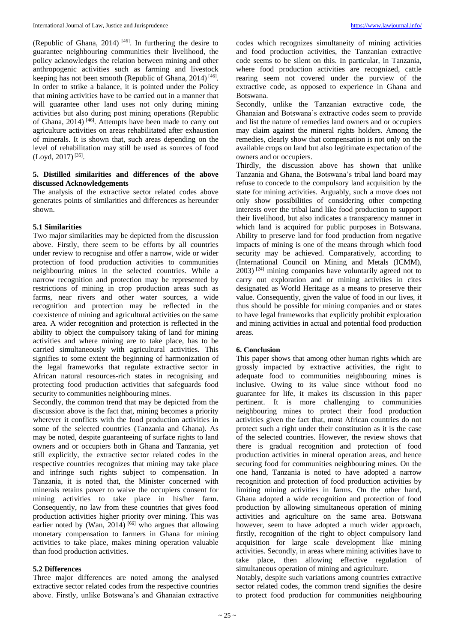(Republic of Ghana, 2014)  $[46]$ . In furthering the desire to guarantee neighbouring communities their livelihood, the policy acknowledges the relation between mining and other anthropogenic activities such as farming and livestock keeping has not been smooth (Republic of Ghana, 2014)<sup>[46]</sup>. In order to strike a balance, it is pointed under the Policy that mining activities have to be carried out in a manner that will guarantee other land uses not only during mining activities but also during post mining operations (Republic of Ghana, 2014)  $[46]$ . Attempts have been made to carry out agriculture activities on areas rehabilitated after exhaustion of minerals. It is shown that, such areas depending on the level of rehabilitation may still be used as sources of food (Loyd, 2017) [35] .

## **5. Distilled similarities and differences of the above discussed Acknowledgements**

The analysis of the extractive sector related codes above generates points of similarities and differences as hereunder shown.

## **5.1 Similarities**

Two major similarities may be depicted from the discussion above. Firstly, there seem to be efforts by all countries under review to recognise and offer a narrow, wide or wider protection of food production activities to communities neighbouring mines in the selected countries. While a narrow recognition and protection may be represented by restrictions of mining in crop production areas such as farms, near rivers and other water sources, a wide recognition and protection may be reflected in the coexistence of mining and agricultural activities on the same area. A wider recognition and protection is reflected in the ability to object the compulsory taking of land for mining activities and where mining are to take place, has to be carried simultaneously with agricultural activities. This signifies to some extent the beginning of harmonization of the legal frameworks that regulate extractive sector in African natural resources-rich states in recognising and protecting food production activities that safeguards food security to communities neighbouring mines.

Secondly, the common trend that may be depicted from the discussion above is the fact that, mining becomes a priority wherever it conflicts with the food production activities in some of the selected countries (Tanzania and Ghana). As may be noted, despite guaranteeing of surface rights to land owners and or occupiers both in Ghana and Tanzania, yet still explicitly, the extractive sector related codes in the respective countries recognizes that mining may take place and infringe such rights subject to compensation. In Tanzania, it is noted that, the Minister concerned with minerals retains power to waive the occupiers consent for mining activities to take place in his/her farm. Consequently, no law from these countries that gives food production activities higher priority over mining. This was earlier noted by (Wan,  $2014$ )<sup>[66]</sup> who argues that allowing monetary compensation to farmers in Ghana for mining activities to take place, makes mining operation valuable than food production activities.

#### **5.2 Differences**

Three major differences are noted among the analysed extractive sector related codes from the respective countries above. Firstly, unlike Botswana's and Ghanaian extractive

codes which recognizes simultaneity of mining activities and food production activities, the Tanzanian extractive code seems to be silent on this. In particular, in Tanzania, where food production activities are recognized, cattle rearing seem not covered under the purview of the extractive code, as opposed to experience in Ghana and Botswana.

Secondly, unlike the Tanzanian extractive code, the Ghanaian and Botswana's extractive codes seem to provide and list the nature of remedies land owners and or occupiers may claim against the mineral rights holders. Among the remedies, clearly show that compensation is not only on the available crops on land but also legitimate expectation of the owners and or occupiers.

Thirdly, the discussion above has shown that unlike Tanzania and Ghana, the Botswana's tribal land board may refuse to concede to the compulsory land acquisition by the state for mining activities. Arguably, such a move does not only show possibilities of considering other competing interests over the tribal land like food production to support their livelihood, but also indicates a transparency manner in which land is acquired for public purposes in Botswana. Ability to preserve land for food production from negative impacts of mining is one of the means through which food security may be achieved. Comparatively, according to (International Council on Mining and Metals (ICMM), 2003) [24] mining companies have voluntarily agreed not to carry out exploration and or mining activities in cites designated as World Heritage as a means to preserve their value. Consequently, given the value of food in our lives, it thus should be possible for mining companies and or states to have legal frameworks that explicitly prohibit exploration and mining activities in actual and potential food production areas.

# **6. Conclusion**

This paper shows that among other human rights which are grossly impacted by extractive activities, the right to adequate food to communities neighbouring mines is inclusive. Owing to its value since without food no guarantee for life, it makes its discussion in this paper pertinent. It is more challenging to communities neighbouring mines to protect their food production activities given the fact that, most African countries do not protect such a right under their constitution as it is the case of the selected countries. However, the review shows that there is gradual recognition and protection of food production activities in mineral operation areas, and hence securing food for communities neighbouring mines. On the one hand, Tanzania is noted to have adopted a narrow recognition and protection of food production activities by limiting mining activities in farms. On the other hand, Ghana adopted a wide recognition and protection of food production by allowing simultaneous operation of mining activities and agriculture on the same area. Botswana however, seem to have adopted a much wider approach, firstly, recognition of the right to object compulsory land acquisition for large scale development like mining activities. Secondly, in areas where mining activities have to take place, then allowing effective regulation of simultaneous operation of mining and agriculture.

Notably, despite such variations among countries extractive sector related codes, the common trend signifies the desire to protect food production for communities neighbouring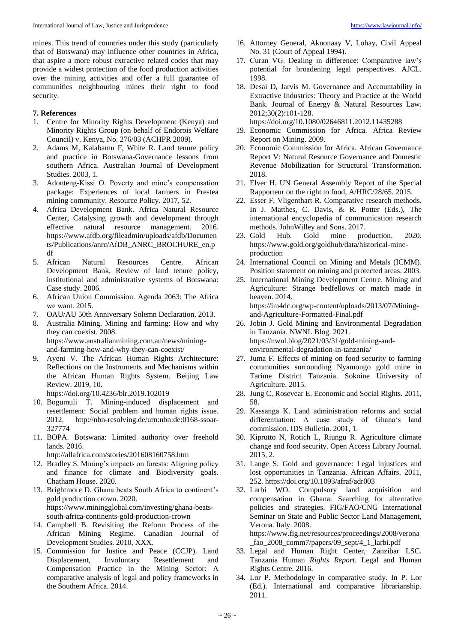mines. This trend of countries under this study (particularly that of Botswana) may influence other countries in Africa, that aspire a more robust extractive related codes that may provide a widest protection of the food production activities over the mining activities and offer a full guarantee of communities neighbouring mines their right to food security.

# **7. References**

- 1. Centre for Minority Rights Development (Kenya) and Minority Rights Group (on behalf of Endorois Welfare Council) v. Kenya, No. 276/03 (ACHPR 2009).
- 2. Adams M, Kalabamu F, White R. Land tenure policy and practice in Botswana-Governance lessons from southern Africa. Australian Journal of Development Studies. 2003, 1.
- 3. Adonteng-Kissi O. Poverty and mine's compensation package: Experiences of local farmers in Prestea mining community. Resource Policy. 2017, 52.
- 4. Africa Development Bank. Africa Natural Resource Center, Catalysing growth and development through<br>effective natural resource management. 2016. effective natural resource management. https://www.afdb.org/fileadmin/uploads/afdb/Documen ts/Publications/anrc/AfDB\_ANRC\_BROCHURE\_en.p df
- 5. African Natural Resources Centre. African Development Bank, Review of land tenure policy, institutional and administrative systems of Botswana: Case study. 2006.
- 6. African Union Commission. Agenda 2063: The Africa we want. 2015.
- 7. OAU/AU 50th Anniversary Solemn Declaration. 2013.
- 8. Australia Mining. Mining and farming: How and why they can coexist. 2008. https://www.australianmining.com.au/news/miningand-farming-how-and-why-they-can-coexist/
- 9. Ayeni V. The African Human Rights Architecture: Reflections on the Instruments and Mechanisms within the African Human Rights System. Beijing Law Review. 2019, 10.

https://doi.org/10.4236/blr.2019.102019

- 10. Bogumuli T. Mining-induced displacement and resettlement: Social problem and human rights issue. 2012. http://nbn-resolving.de/urn:nbn:de:0168-ssoar-327774
- 11. BOPA. Botswana: Limited authority over freehold lands. 2016.

http://allafrica.com/stories/201608160758.htm

- 12. Bradley S. Mining's impacts on forests: Aligning policy and finance for climate and Biodiversity goals. Chatham House. 2020.
- 13. Brightmore D. Ghana beats South Africa to continent's gold production crown. 2020. https://www.miningglobal.com/investing/ghana-beatssouth-africa-continents-gold-production-crown
- 14. Campbell B. Revisiting the Reform Process of the African Mining Regime. Canadian Journal of Development Studies. 2010, XXX.
- 15. Commission for Justice and Peace (CCJP). Land Displacement, Involuntary Resettlement and Compensation Practice in the Mining Sector: A comparative analysis of legal and policy frameworks in the Southern Africa. 2014.
- 16. Attorney General, Aknonaay V, Lohay, Civil Appeal No. 31 (Court of Appeal 1994).
- 17. Curan VG. Dealing in difference: Comparative law's potential for broadening legal perspectives. AJCL. 1998.
- 18. Desai D, Jarvis M. Governance and Accountability in Extractive Industries: Theory and Practice at the World Bank. Journal of Energy & Natural Resources Law. 2012;30(2):101-128.

https://doi.org/10.1080/02646811.2012.11435288

- 19. Economic Commission for Africa. Africa Review Report on Mining. 2009.
- 20. Economic Commission for Africa. African Governance Report V: Natural Resource Governance and Domestic Revenue Mobilization for Structural Transformation. 2018.
- 21. Elver H. UN General Assembly Report of the Special Rapporteur on the right to food, A/HRC/28/65. 2015.
- 22. Esser F, Vligenthart R. Comparative research methods. In J. Matthes, C. Davis, & R. Potter (Eds.), The international encyclopedia of communication research methods. JohnWilley and Sons. 2017.
- 23. Gold Hub. Gold mine production. 2020. https://www.gold.org/goldhub/data/historical-mineproduction
- 24. International Council on Mining and Metals (ICMM). Position statement on mining and protected areas. 2003.
- 25. International Mining Development Centre. Mining and Agriculture: Strange bedfellows or match made in heaven. 2014. https://im4dc.org/wp-content/uploads/2013/07/Miningand-Agriculture-Formatted-Final.pdf
- 26. Jobin J. Gold Mining and Environmental Degradation in Tanzania. NWNL Blog. 2021. https://nwnl.blog/2021/03/31/gold-mining-andenvironmental-degradation-in-tanzania/
- 27. Juma F. Effects of mining on food security to farming communities surrounding Nyamongo gold mine in Tarime District Tanzania. Sokoine University of Agriculture. 2015.
- 28. Jung C, Rosevear E. Economic and Social Rights. 2011, 58.
- 29. Kassanga K. Land administration reforms and social differentiation: A case study of Ghana's land commission. IDS Bulletin. 2001, 1.
- 30. Kiprutto N, Rotich L, Riungu R. Agriculture climate change and food security. Open Access Library Journal. 2015, 2.
- 31. Lange S. Gold and governance: Legal injustices and lost opportunities in Tanzania. African Affairs. 2011, 252. https://doi.org/10.1093/afraf/adr003
- 32. Larbi WO. Compulsory land acquisition and compensation in Ghana: Searching for alternative policies and strategies. FIG/FAO/CNG International Seminar on State and Public Sector Land Management, Verona. Italy. 2008. https://www.fig.net/resources/proceedings/2008/verona \_fao\_2008\_comm7/papers/09\_sept/4\_1\_larbi.pdf
- 33. Legal and Human Right Center, Zanzibar LSC. Tanzania Human *Rights Report*. Legal and Human Rights Centre. 2016.
- 34. Lor P. Methodology in comparative study. In P. Lor (Ed.). International and comparative librarianship. 2011.